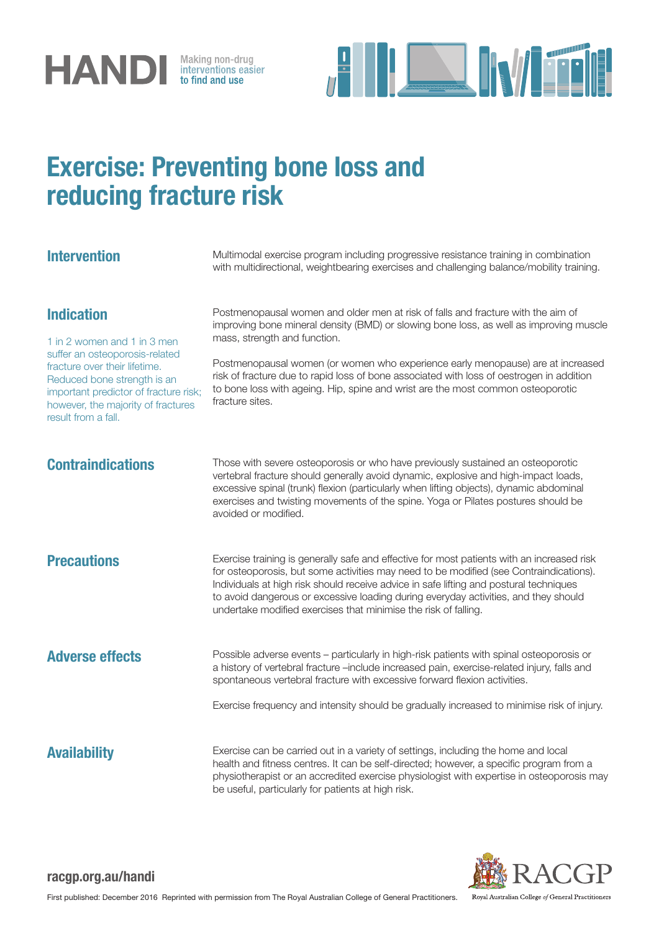



# Exercise: Preventing bone loss and reducing fracture risk

**Intervention** Multimodal exercise program including progressive resistance training in combination with multidirectional, weightbearing exercises and challenging balance/mobility training.

# Indication

1 in 2 women and 1 in 3 men suffer an osteoporosis-related fracture over their lifetime. Reduced bone strength is an important predictor of fracture risk; however, the majority of fractures result from a fall.

Postmenopausal women and older men at risk of falls and fracture with the aim of improving bone mineral density (BMD) or slowing bone loss, as well as improving muscle mass, strength and function.

Postmenopausal women (or women who experience early menopause) are at increased risk of fracture due to rapid loss of bone associated with loss of oestrogen in addition to bone loss with ageing. Hip, spine and wrist are the most common osteoporotic fracture sites.

**Contraindications** Those with severe osteoporosis or who have previously sustained an osteoporotic vertebral fracture should generally avoid dynamic, explosive and high-impact loads, excessive spinal (trunk) flexion (particularly when lifting objects), dynamic abdominal exercises and twisting movements of the spine. Yoga or Pilates postures should be avoided or modified.

**Precautions** Exercise training is generally safe and effective for most patients with an increased risk for osteoporosis, but some activities may need to be modified (see Contraindications). Individuals at high risk should receive advice in safe lifting and postural techniques to avoid dangerous or excessive loading during everyday activities, and they should undertake modified exercises that minimise the risk of falling.

Adverse effects **Possible adverse events – particularly in high-risk patients with spinal osteoporosis or** a history of vertebral fracture –include increased pain, exercise-related injury, falls and spontaneous vertebral fracture with excessive forward flexion activities.

Exercise frequency and intensity should be gradually increased to minimise risk of injury.

Availability **Exercise can be carried out in a variety of settings**, including the home and local health and fitness centres. It can be self-directed; however, a specific program from a physiotherapist or an accredited exercise physiologist with expertise in osteoporosis may be useful, particularly for patients at high risk.



# racgp.org.au/handi

Royal Australian College of General Practitioners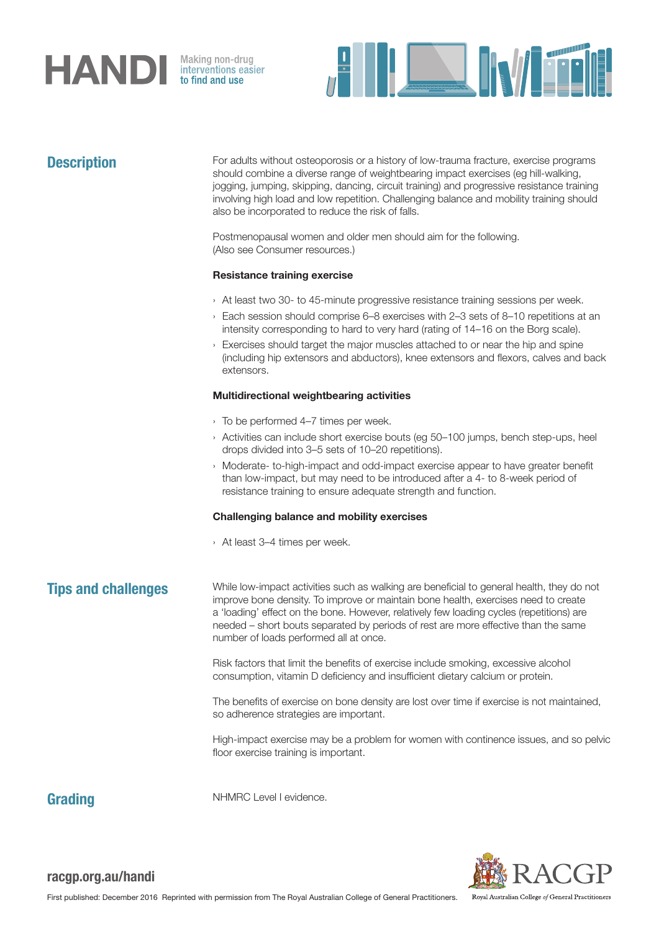

Making non-drug<br>interventions easier<br>**to find and use** 



**Description** For adults without osteoporosis or a history of low-trauma fracture, exercise programs should combine a diverse range of weightbearing impact exercises (eg hill-walking, jogging, jumping, skipping, dancing, circuit training) and progressive resistance training involving high load and low repetition. Challenging balance and mobility training should also be incorporated to reduce the risk of falls.

> Postmenopausal women and older men should aim for the following. (Also see Consumer resources.)

# Resistance training exercise

- › At least two 30- to 45-minute progressive resistance training sessions per week.
- › Each session should comprise 6–8 exercises with 2–3 sets of 8–10 repetitions at an intensity corresponding to hard to very hard (rating of 14–16 on the Borg scale).
- › Exercises should target the major muscles attached to or near the hip and spine (including hip extensors and abductors), knee extensors and flexors, calves and back extensors.

# Multidirectional weightbearing activities

- › To be performed 4–7 times per week.
- › Activities can include short exercise bouts (eg 50–100 jumps, bench step-ups, heel drops divided into 3–5 sets of 10–20 repetitions).
- › Moderate- to-high-impact and odd-impact exercise appear to have greater benefit than low-impact, but may need to be introduced after a 4- to 8-week period of resistance training to ensure adequate strength and function.

### Challenging balance and mobility exercises

› At least 3–4 times per week.

**Tips and challenges** While low-impact activities such as walking are beneficial to general health, they do not improve bone density. To improve or maintain bone health, exercises need to create a 'loading' effect on the bone. However, relatively few loading cycles (repetitions) are needed – short bouts separated by periods of rest are more effective than the same number of loads performed all at once.

> Risk factors that limit the benefits of exercise include smoking, excessive alcohol consumption, vitamin D deficiency and insufficient dietary calcium or protein.

The benefits of exercise on bone density are lost over time if exercise is not maintained, so adherence strategies are important.

High-impact exercise may be a problem for women with continence issues, and so pelvic floor exercise training is important.

Grading NHMRC Level I evidence.



# racgp.org.au/handi

Royal Australian College of General Practitioners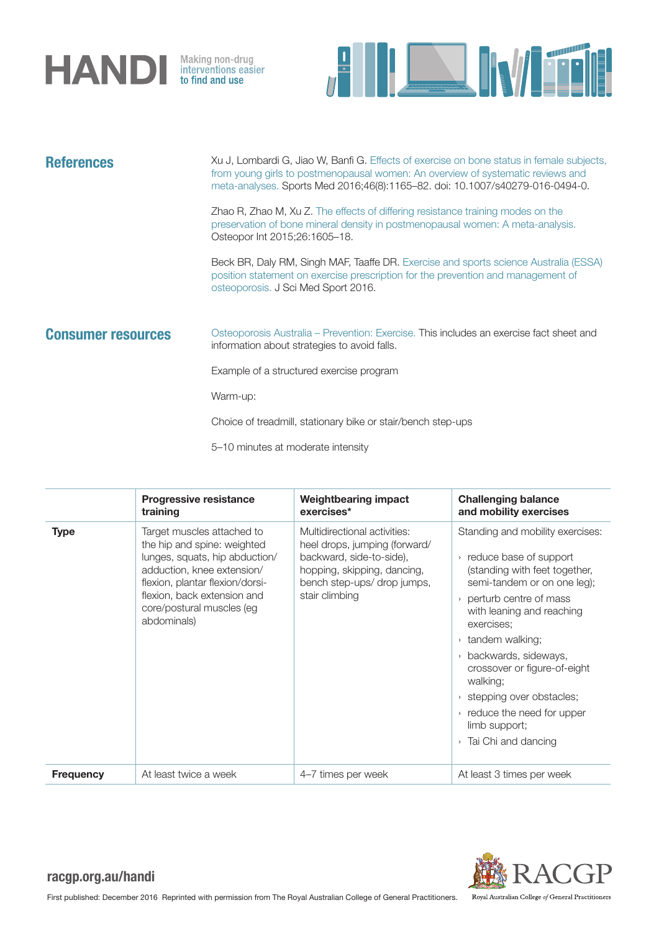



| <b>References</b>         | Xu J, Lombardi G, Jiao W, Banfi G. Effects of exercise on bone status in female subjects,<br>from young girls to postmenopausal women: An overview of systematic reviews and<br>meta-analyses. Sports Med 2016;46(8):1165-82. doi: 10.1007/s40279-016-0494-0. |  |
|---------------------------|---------------------------------------------------------------------------------------------------------------------------------------------------------------------------------------------------------------------------------------------------------------|--|
|                           | Zhao R, Zhao M, Xu Z. The effects of differing resistance training modes on the<br>preservation of bone mineral density in postmenopausal women: A meta-analysis.<br>Osteopor Int 2015;26:1605-18.                                                            |  |
|                           | Beck BR, Daly RM, Singh MAF, Taaffe DR. Exercise and sports science Australia (ESSA)<br>position statement on exercise prescription for the prevention and management of<br>osteoporosis. J Sci Med Sport 2016.                                               |  |
| <b>Consumer resources</b> | Osteoporosis Australia – Prevention: Exercise. This includes an exercise fact sheet and<br>information about strategies to avoid falls.                                                                                                                       |  |
|                           | Example of a structured exercise program                                                                                                                                                                                                                      |  |
|                           | Warm-up:                                                                                                                                                                                                                                                      |  |
|                           | Choice of treadmill, stationary bike or stair/bench step-ups                                                                                                                                                                                                  |  |
|                           | 5–10 minutes at moderate intensity                                                                                                                                                                                                                            |  |

|                  | <b>Progressive resistance</b><br>training                                                                                                                                                                                               | <b>Weightbearing impact</b><br>exercises*                                                                                                                                 | <b>Challenging balance</b><br>and mobility exercises                                                                                                                                                                                                                                                                                                                                                                                                                         |
|------------------|-----------------------------------------------------------------------------------------------------------------------------------------------------------------------------------------------------------------------------------------|---------------------------------------------------------------------------------------------------------------------------------------------------------------------------|------------------------------------------------------------------------------------------------------------------------------------------------------------------------------------------------------------------------------------------------------------------------------------------------------------------------------------------------------------------------------------------------------------------------------------------------------------------------------|
| <b>Type</b>      | Target muscles attached to<br>the hip and spine: weighted<br>lunges, squats, hip abduction/<br>adduction, knee extension/<br>flexion, plantar flexion/dorsi-<br>flexion, back extension and<br>core/postural muscles (eg<br>abdominals) | Multidirectional activities:<br>heel drops, jumping (forward/<br>backward, side-to-side),<br>hopping, skipping, dancing,<br>bench step-ups/ drop jumps,<br>stair climbing | Standing and mobility exercises:<br>reduce base of support<br>$\rightarrow$<br>(standing with feet together,<br>semi-tandem or on one leg);<br>perturb centre of mass<br>$\rightarrow$<br>with leaning and reaching<br>exercises;<br>tandem walking;<br>$\rightarrow$<br>backwards, sideways,<br>$\mathcal{L}$<br>crossover or figure-of-eight<br>walking;<br>stepping over obstacles;<br>reduce the need for upper<br>limb support;<br>Tai Chi and dancing<br>$\rightarrow$ |
| <b>Frequency</b> | At least twice a week                                                                                                                                                                                                                   | 4-7 times per week                                                                                                                                                        | At least 3 times per week                                                                                                                                                                                                                                                                                                                                                                                                                                                    |